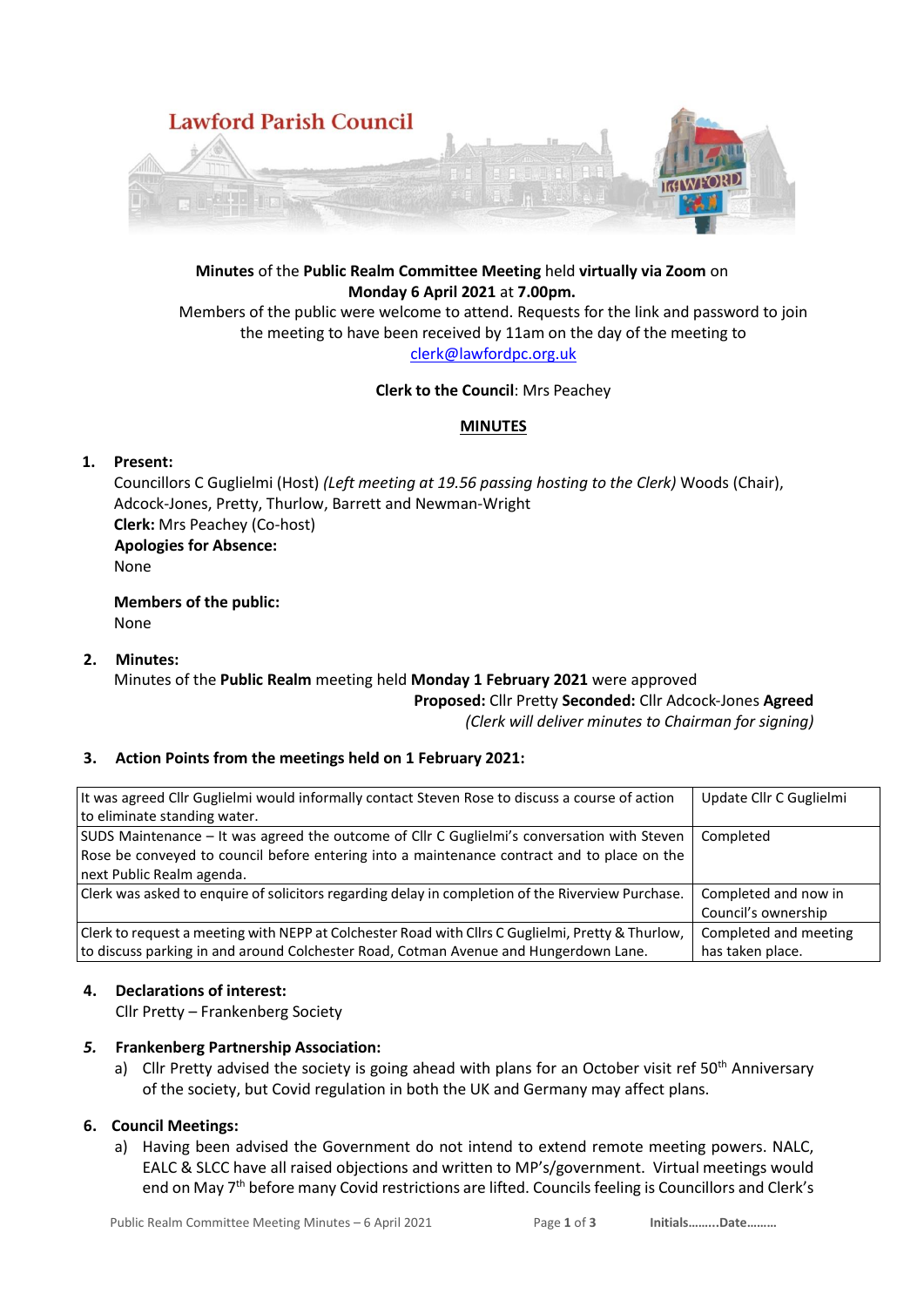

# **Minutes** of the **Public Realm Committee Meeting** held **virtually via Zoom** on **Monday 6 April 2021** at **7.00pm.**

Members of the public were welcome to attend. Requests for the link and password to join the meeting to have been received by 11am on the day of the meeting to [clerk@lawfordpc.org.uk](mailto:clerk@lawfordpc.org.uk)

#### **Clerk to the Council**: Mrs Peachey

### **MINUTES**

### **1. Present:**

Councillors C Guglielmi (Host) *(Left meeting at 19.56 passing hosting to the Clerk)* Woods (Chair), Adcock-Jones, Pretty, Thurlow, Barrett and Newman-Wright **Clerk:** Mrs Peachey (Co-host) **Apologies for Absence:**  None

**Members of the public:** None

### **2. Minutes:**

#### Minutes of the **Public Realm** meeting held **Monday 1 February 2021** were approved **Proposed:** Cllr Pretty **Seconded:** Cllr Adcock-Jones **Agreed**

*(Clerk will deliver minutes to Chairman for signing)*

### **3. Action Points from the meetings held on 1 February 2021:**

| It was agreed Cllr Guglielmi would informally contact Steven Rose to discuss a course of action   | Update Cllr C Guglielmi |
|---------------------------------------------------------------------------------------------------|-------------------------|
| to eliminate standing water.                                                                      |                         |
| SUDS Maintenance - It was agreed the outcome of Cllr C Guglielmi's conversation with Steven       | Completed               |
| Rose be conveyed to council before entering into a maintenance contract and to place on the       |                         |
| next Public Realm agenda.                                                                         |                         |
| Clerk was asked to enquire of solicitors regarding delay in completion of the Riverview Purchase. | Completed and now in    |
|                                                                                                   | Council's ownership     |
| Clerk to request a meeting with NEPP at Colchester Road with Cllrs C Guglielmi, Pretty & Thurlow, | Completed and meeting   |
| to discuss parking in and around Colchester Road, Cotman Avenue and Hungerdown Lane.              | has taken place.        |

### **4. Declarations of interest:**

Cllr Pretty – Frankenberg Society

### *5.* **Frankenberg Partnership Association:**

a) Cllr Pretty advised the society is going ahead with plans for an October visit ref  $50<sup>th</sup>$  Anniversary of the society, but Covid regulation in both the UK and Germany may affect plans.

### **6. Council Meetings:**

a) Having been advised the Government do not intend to extend remote meeting powers. NALC, EALC & SLCC have all raised objections and written to MP's/government. Virtual meetings would end on May 7<sup>th</sup> before many Covid restrictions are lifted. Councils feeling is Councillors and Clerk's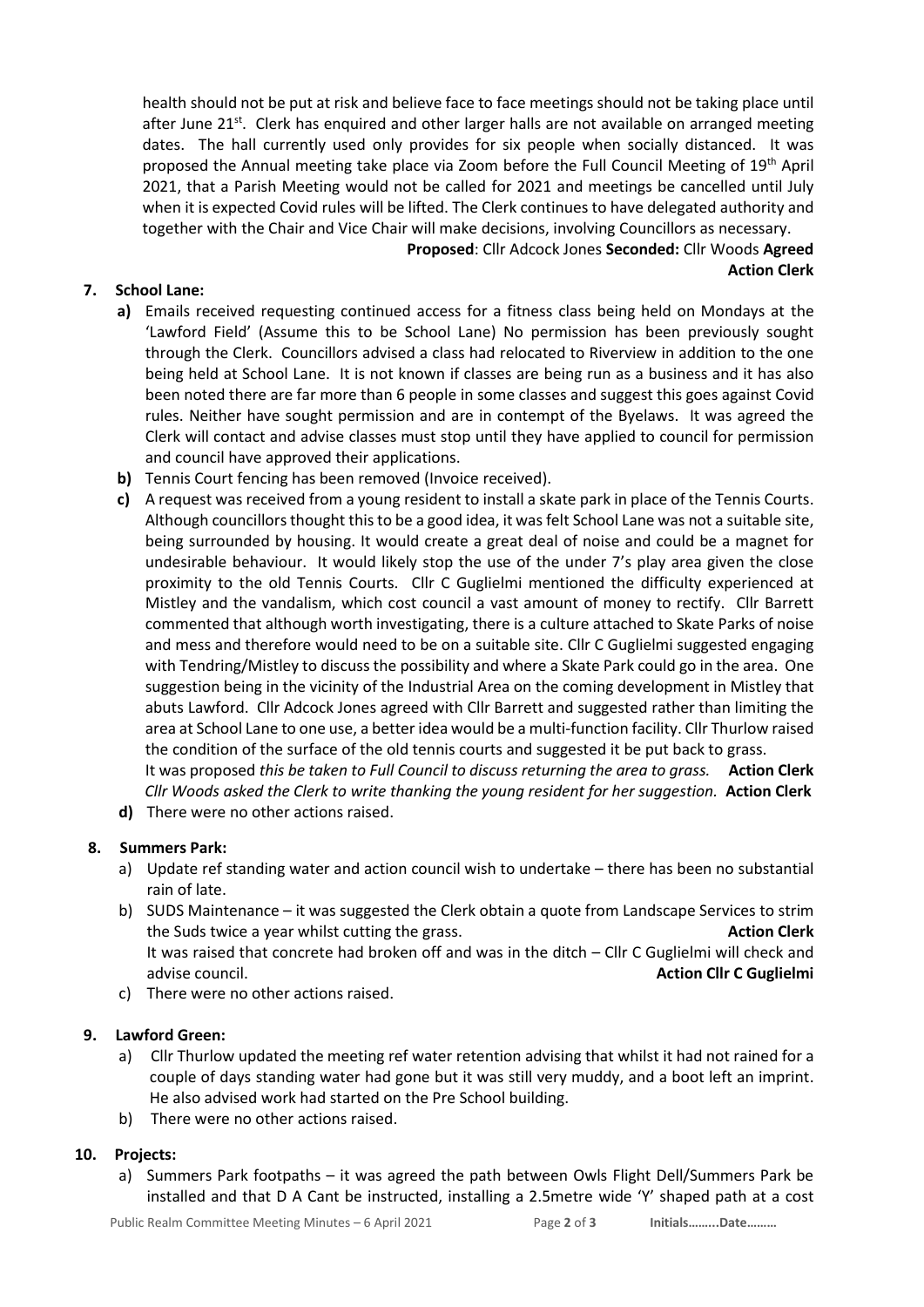health should not be put at risk and believe face to face meetings should not be taking place until after June  $21^{st}$ . Clerk has enquired and other larger halls are not available on arranged meeting dates. The hall currently used only provides for six people when socially distanced. It was proposed the Annual meeting take place via Zoom before the Full Council Meeting of 19th April 2021, that a Parish Meeting would not be called for 2021 and meetings be cancelled until July when it is expected Covid rules will be lifted. The Clerk continues to have delegated authority and together with the Chair and Vice Chair will make decisions, involving Councillors as necessary.

**Proposed**: Cllr Adcock Jones **Seconded:** Cllr Woods **Agreed Action Clerk**

## **7. School Lane:**

- **a)** Emails received requesting continued access for a fitness class being held on Mondays at the 'Lawford Field' (Assume this to be School Lane) No permission has been previously sought through the Clerk. Councillors advised a class had relocated to Riverview in addition to the one being held at School Lane. It is not known if classes are being run as a business and it has also been noted there are far more than 6 people in some classes and suggest this goes against Covid rules. Neither have sought permission and are in contempt of the Byelaws. It was agreed the Clerk will contact and advise classes must stop until they have applied to council for permission and council have approved their applications.
- **b)** Tennis Court fencing has been removed (Invoice received).
- **c)** A request was received from a young resident to install a skate park in place of the Tennis Courts. Although councillorsthought this to be a good idea, it was felt School Lane was not a suitable site, being surrounded by housing. It would create a great deal of noise and could be a magnet for undesirable behaviour. It would likely stop the use of the under 7's play area given the close proximity to the old Tennis Courts. Cllr C Guglielmi mentioned the difficulty experienced at Mistley and the vandalism, which cost council a vast amount of money to rectify. Cllr Barrett commented that although worth investigating, there is a culture attached to Skate Parks of noise and mess and therefore would need to be on a suitable site. Cllr C Guglielmi suggested engaging with Tendring/Mistley to discuss the possibility and where a Skate Park could go in the area. One suggestion being in the vicinity of the Industrial Area on the coming development in Mistley that abuts Lawford. Cllr Adcock Jones agreed with Cllr Barrett and suggested rather than limiting the area at School Lane to one use, a better idea would be a multi-function facility. Cllr Thurlow raised the condition of the surface of the old tennis courts and suggested it be put back to grass.

It was proposed *this be taken to Full Council to discuss returning the area to grass.* **Action Clerk** *Cllr Woods asked the Clerk to write thanking the young resident for her suggestion.* **Action Clerk d)** There were no other actions raised.

### **8. Summers Park:**

- a) Update ref standing water and action council wish to undertake there has been no substantial rain of late.
- b) SUDS Maintenance it was suggested the Clerk obtain a quote from Landscape Services to strim the Suds twice a year whilst cutting the grass. **Action Clerk** It was raised that concrete had broken off and was in the ditch – Cllr C Guglielmi will check and advise council. **Action Cllr C Guglielmi**
- c) There were no other actions raised.

### **9. Lawford Green:**

- a) Cllr Thurlow updated the meeting ref water retention advising that whilst it had not rained for a couple of days standing water had gone but it was still very muddy, and a boot left an imprint. He also advised work had started on the Pre School building.
- b) There were no other actions raised.

## **10. Projects:**

a) Summers Park footpaths – it was agreed the path between Owls Flight Dell/Summers Park be installed and that D A Cant be instructed, installing a 2.5metre wide 'Y' shaped path at a cost